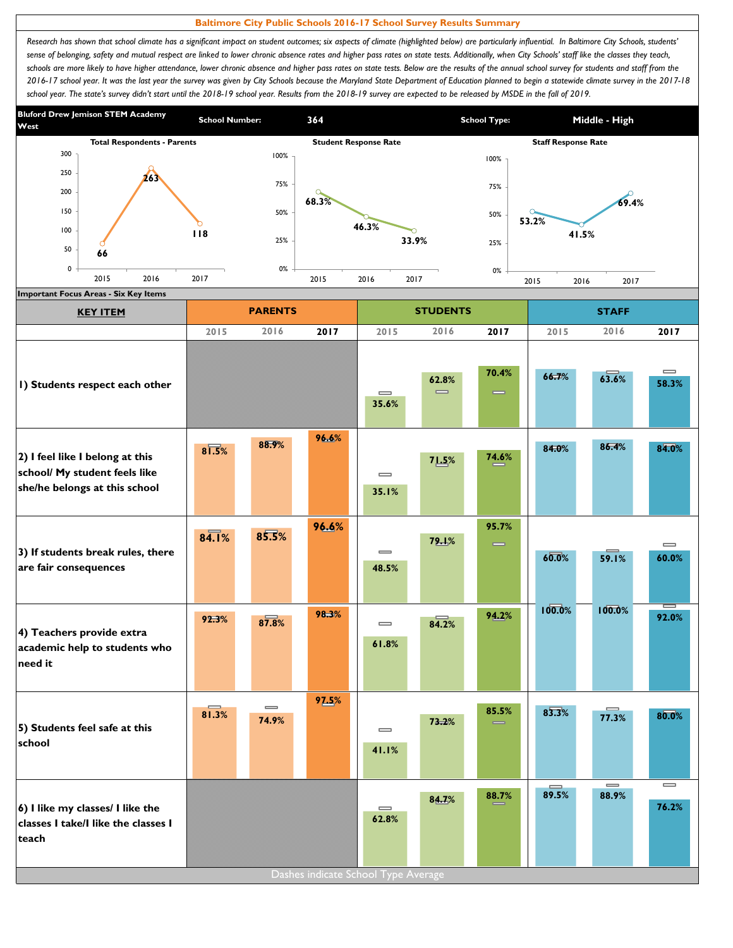## **Baltimore City Public Schools 2016-17 School Survey Results Summary**

Research has shown that school climate has a significant impact on student outcomes; six aspects of climate (highlighted below) are particularly influential. In Baltimore City Schools, students' sense of belonging, safety and mutual respect are linked to lower chronic absence rates and higher pass rates on state tests. Additionally, when City Schools' staff like the classes they teach, schools are more likely to have higher attendance, lower chronic absence and higher pass rates on state tests. Below are the results of the annual school survey for students and staff from the *2016-17 school year. It was the last year the survey was given by City Schools because the Maryland State Department of Education planned to begin a statewide climate survey in the 2017-18*  school year. The state's survey didn't start until the 2018-19 school year. Results from the 2018-19 survey are expected to be released by MSDE in the fall of 2019.



| <b>KEY ITEM</b>                                                                                   |                     | <b>PARENTS</b>             |       |                                          | <b>STUDENTS</b> |                   |                   | <b>STAFF</b>                          |                   |
|---------------------------------------------------------------------------------------------------|---------------------|----------------------------|-------|------------------------------------------|-----------------|-------------------|-------------------|---------------------------------------|-------------------|
|                                                                                                   | 2015                | 2016                       | 2017  | 2015                                     | 2016            | 2017              | 2015              | 2016                                  | 2017              |
| I) Students respect each other                                                                    |                     |                            |       | $\equiv$<br>35.6%                        | 62.8%<br>$=$    | 70.4%<br>$\equiv$ | 66.7%             | 63.6%                                 | $\equiv$<br>58.3% |
| 2) I feel like I belong at this<br>school/ My student feels like<br>she/he belongs at this school | $8\overline{1.5\%}$ | 88.9%                      | 96.6% | $\overline{\phantom{0}}$<br>35.1%        | 71.5%           | 74.6%             | 84.0%             | 86.4%                                 | 84.0%             |
| 3) If students break rules, there<br>are fair consequences                                        | 84.1%               | 85.5%                      | 96.6% | $\overline{\phantom{0}}$<br>48.5%        | 79.1%           | 95.7%<br>$\equiv$ | 60.0%             | 59.1%                                 | $\equiv$<br>60.0% |
| 4) Teachers provide extra<br>academic help to students who<br>need it                             | 92.3%               | 87.8%                      | 98.3% | $\qquad \qquad \blacksquare$<br>61.8%    | 84.2%           | 94.2%             | 100.0%            | 100.0%                                | ∊<br>92.0%        |
| 5) Students feel safe at this<br>school                                                           | 81.3%               | $\qquad \qquad =$<br>74.9% | 97.5% | $\equiv$<br>41.1%                        | 73.2%           | 85.5%             | 83.3%             | 77.3%                                 | 80.0%             |
| 6) I like my classes/ I like the<br>classes I take/I like the classes I<br>teach                  |                     |                            |       | $\qquad \qquad = \qquad \qquad$<br>62.8% | 84.7%           | 88.7%             | $\equiv$<br>89.5% | $\qquad \qquad \blacksquare$<br>88.9% | $\equiv$<br>76.2% |